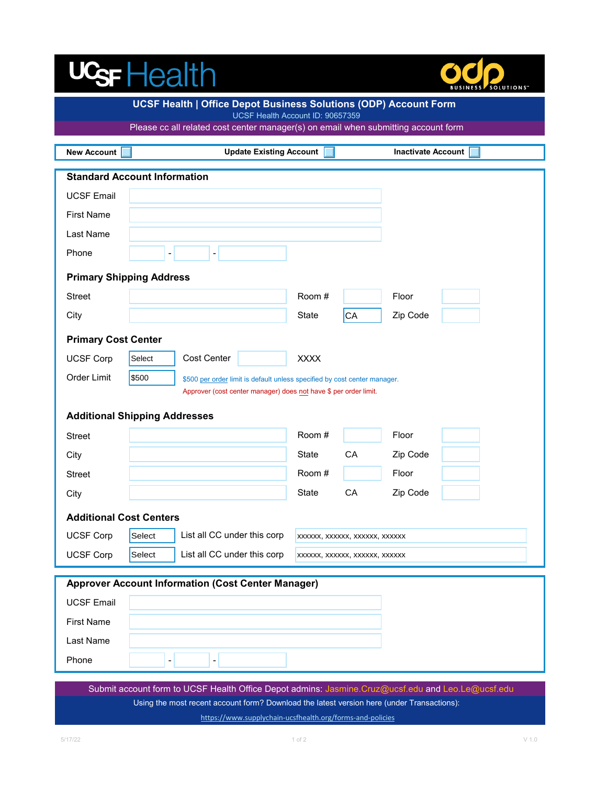# UGFHealth



| UCSF Health   Office Depot Business Solutions (ODP) Account Form<br>UCSF Health Account ID: 90657359 |                                                                                    |             |                                |                           |  |  |
|------------------------------------------------------------------------------------------------------|------------------------------------------------------------------------------------|-------------|--------------------------------|---------------------------|--|--|
| Please cc all related cost center manager(s) on email when submitting account form                   |                                                                                    |             |                                |                           |  |  |
| <b>New Account</b>                                                                                   | <b>Update Existing Account</b>                                                     |             |                                | <b>Inactivate Account</b> |  |  |
| <b>Standard Account Information</b>                                                                  |                                                                                    |             |                                |                           |  |  |
| <b>UCSF Email</b>                                                                                    |                                                                                    |             |                                |                           |  |  |
| <b>First Name</b>                                                                                    |                                                                                    |             |                                |                           |  |  |
| Last Name                                                                                            |                                                                                    |             |                                |                           |  |  |
| Phone                                                                                                |                                                                                    |             |                                |                           |  |  |
| <b>Primary Shipping Address</b>                                                                      |                                                                                    |             |                                |                           |  |  |
| <b>Street</b>                                                                                        |                                                                                    | Room#       |                                | Floor                     |  |  |
| City                                                                                                 |                                                                                    | State       | CA                             | Zip Code                  |  |  |
| <b>Primary Cost Center</b>                                                                           |                                                                                    |             |                                |                           |  |  |
| <b>UCSF Corp</b>                                                                                     | Cost Center<br>Select                                                              | <b>XXXX</b> |                                |                           |  |  |
| Order Limit                                                                                          | \$500<br>\$500 per order limit is default unless specified by cost center manager. |             |                                |                           |  |  |
| Approver (cost center manager) does not have \$ per order limit.                                     |                                                                                    |             |                                |                           |  |  |
|                                                                                                      | <b>Additional Shipping Addresses</b>                                               |             |                                |                           |  |  |
| <b>Street</b>                                                                                        |                                                                                    | Room#       |                                | Floor                     |  |  |
| City                                                                                                 |                                                                                    | State       | CA                             | Zip Code                  |  |  |
| <b>Street</b>                                                                                        |                                                                                    | Room#       |                                | Floor                     |  |  |
| City                                                                                                 |                                                                                    | State       | CA                             | Zip Code                  |  |  |
| <b>Additional Cost Centers</b>                                                                       |                                                                                    |             |                                |                           |  |  |
| <b>UCSF Corp</b>                                                                                     | Select<br>  List all CC under this corp                                            |             | xxxxxx, xxxxxx, xxxxxx, xxxxxx |                           |  |  |
| <b>UCSF Corp</b>                                                                                     | List all CC under this corp<br>Select                                              |             | XXXXXX, XXXXXX, XXXXXX, XXXXXX |                           |  |  |
| <b>Approver Account Information (Cost Center Manager)</b>                                            |                                                                                    |             |                                |                           |  |  |
| <b>UCSF Email</b>                                                                                    |                                                                                    |             |                                |                           |  |  |
| <b>First Name</b>                                                                                    |                                                                                    |             |                                |                           |  |  |
| Last Name                                                                                            |                                                                                    |             |                                |                           |  |  |
| Phone                                                                                                | $\qquad \qquad \blacksquare$<br>-                                                  |             |                                |                           |  |  |
|                                                                                                      |                                                                                    |             |                                |                           |  |  |

<https://www.supplychain-ucsfhealth.org/forms-and-policies> Submit account form to UCSF Health Office Depot admins: Jasmine.Cruz@ucsf.edu and Leo.Le@ucsf.edu Using the most recent account form? Download the latest version here (under Transactions):